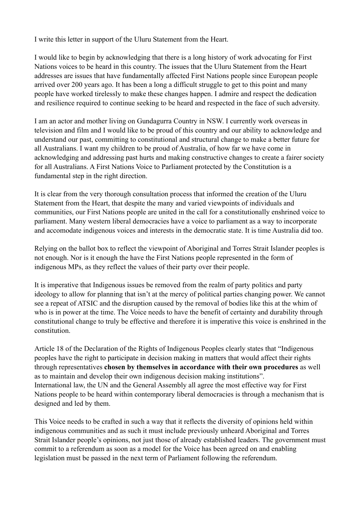I write this letter in support of the Uluru Statement from the Heart.

I would like to begin by acknowledging that there is a long history of work advocating for First Nations voices to be heard in this country. The issues that the Uluru Statement from the Heart addresses are issues that have fundamentally affected First Nations people since European people arrived over 200 years ago. It has been a long a difficult struggle to get to this point and many people have worked tirelessly to make these changes happen. I admire and respect the dedication and resilience required to continue seeking to be heard and respected in the face of such adversity.

I am an actor and mother living on Gundagurra Country in NSW. I currently work overseas in television and film and I would like to be proud of this country and our ability to acknowledge and understand our past, committing to constitutional and structural change to make a better future for all Australians. I want my children to be proud of Australia, of how far we have come in acknowledging and addressing past hurts and making constructive changes to create a fairer society for all Australians. A First Nations Voice to Parliament protected by the Constitution is a fundamental step in the right direction.

It is clear from the very thorough consultation process that informed the creation of the Uluru Statement from the Heart, that despite the many and varied viewpoints of individuals and communities, our First Nations people are united in the call for a constitutionally enshrined voice to parliament. Many western liberal democracies have a voice to parliament as a way to incorporate and accomodate indigenous voices and interests in the democratic state. It is time Australia did too.

Relying on the ballot box to reflect the viewpoint of Aboriginal and Torres Strait Islander peoples is not enough. Nor is it enough the have the First Nations people represented in the form of indigenous MPs, as they reflect the values of their party over their people.

It is imperative that Indigenous issues be removed from the realm of party politics and party ideology to allow for planning that isn't at the mercy of political parties changing power. We cannot see a repeat of ATSIC and the disruption caused by the removal of bodies like this at the whim of who is in power at the time. The Voice needs to have the benefit of certainty and durability through constitutional change to truly be effective and therefore it is imperative this voice is enshrined in the constitution.

Article 18 of the Declaration of the Rights of Indigenous Peoples clearly states that "Indigenous peoples have the right to participate in decision making in matters that would affect their rights through representatives **chosen by themselves in accordance with their own procedures** as well as to maintain and develop their own indigenous decision making institutions". International law, the UN and the General Assembly all agree the most effective way for First Nations people to be heard within contemporary liberal democracies is through a mechanism that is designed and led by them.

This Voice needs to be crafted in such a way that it reflects the diversity of opinions held within indigenous communities and as such it must include previously unheard Aboriginal and Torres Strait Islander people's opinions, not just those of already established leaders. The government must commit to a referendum as soon as a model for the Voice has been agreed on and enabling legislation must be passed in the next term of Parliament following the referendum.